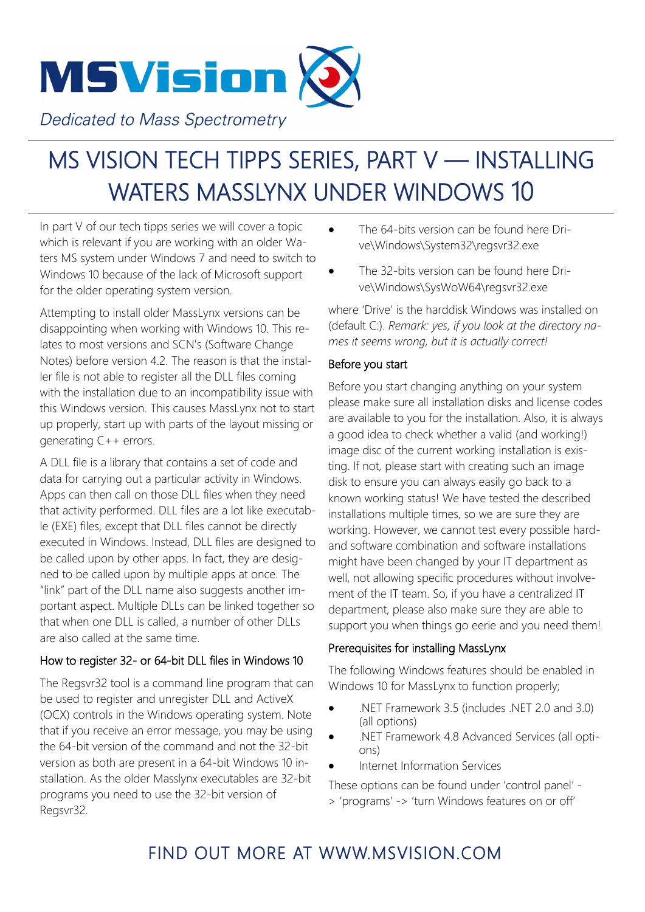

**Dedicated to Mass Spectrometry** 

# MS VISION TECH TIPPS SERIES, PART V — INSTALLING WATERS MASSLYNX UNDER WINDOWS 10

In part V of our tech tipps series we will cover a topic which is relevant if you are working with an older Waters MS system under Windows 7 and need to switch to Windows 10 because of the lack of Microsoft support for the older operating system version.

Attempting to install older MassLynx versions can be disappointing when working with Windows 10. This relates to most versions and SCN's (Software Change Notes) before version 4.2. The reason is that the installer file is not able to register all the DLL files coming with the installation due to an incompatibility issue with this Windows version. This causes MassLynx not to start up properly, start up with parts of the layout missing or generating C++ errors.

A DLL file is a library that contains a set of code and data for carrying out a particular activity in Windows. Apps can then call on those DLL files when they need that activity performed. DLL files are a lot like executable (EXE) files, except that DLL files cannot be directly executed in Windows. Instead, DLL files are designed to be called upon by other apps. In fact, they are designed to be called upon by multiple apps at once. The "link" part of the DLL name also suggests another important aspect. Multiple DLLs can be linked together so that when one DLL is called, a number of other DLLs are also called at the same time.

#### How to register 32- or 64-bit DLL files in Windows 10

The Regsvr32 tool is a command line program that can be used to register and unregister DLL and ActiveX (OCX) controls in the Windows operating system. Note that if you receive an error message, you may be using the 64-bit version of the command and not the 32-bit version as both are present in a 64-bit Windows 10 installation. As the older Masslynx executables are 32-bit programs you need to use the 32-bit version of Regsvr32.

- The 64-bits version can be found here Drive\Windows\System32\regsvr32.exe
- The 32-bits version can be found here Drive\Windows\SysWoW64\regsvr32.exe

where 'Drive' is the harddisk Windows was installed on (default C:). *Remark: yes, if you look at the directory names it seems wrong, but it is actually correct!*

#### Before you start

Before you start changing anything on your system please make sure all installation disks and license codes are available to you for the installation. Also, it is always a good idea to check whether a valid (and working!) image disc of the current working installation is existing. If not, please start with creating such an image disk to ensure you can always easily go back to a known working status! We have tested the described installations multiple times, so we are sure they are working. However, we cannot test every possible hardand software combination and software installations might have been changed by your IT department as well, not allowing specific procedures without involvement of the IT team. So, if you have a centralized IT department, please also make sure they are able to support you when things go eerie and you need them!

#### Prerequisites for installing MassLynx

The following Windows features should be enabled in Windows 10 for MassLynx to function properly;

- .NET Framework 3.5 (includes .NET 2.0 and 3.0) (all options)
- .NET Framework 4.8 Advanced Services (all options)
- Internet Information Services

These options can be found under 'control panel' - > 'programs' -> 'turn Windows features on or off'

### FIND OUT MORE AT WWW.MSVISION.COM